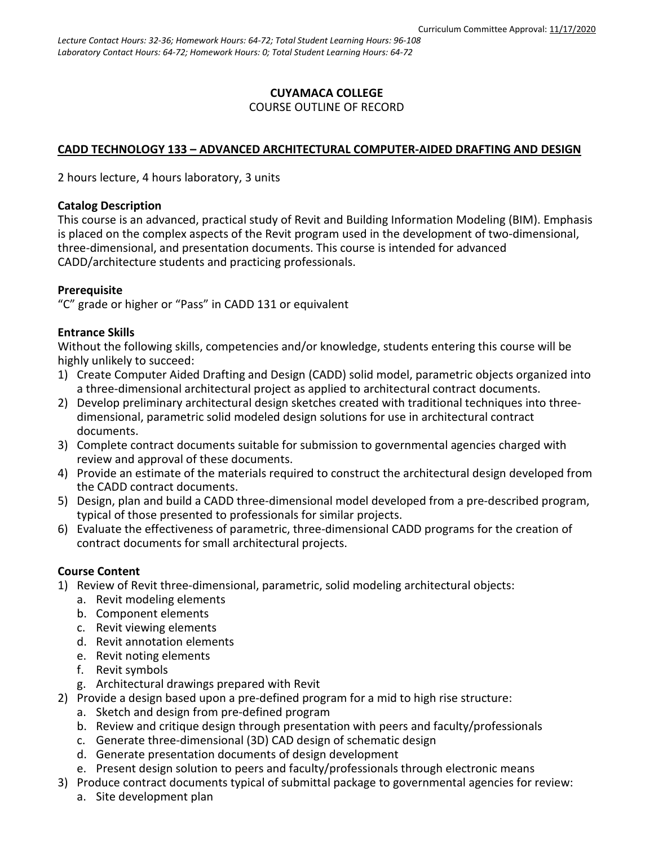### **CUYAMACA COLLEGE** COURSE OUTLINE OF RECORD

### **CADD TECHNOLOGY 133 – ADVANCED ARCHITECTURAL COMPUTER-AIDED DRAFTING AND DESIGN**

2 hours lecture, 4 hours laboratory, 3 units

#### **Catalog Description**

This course is an advanced, practical study of Revit and Building Information Modeling (BIM). Emphasis is placed on the complex aspects of the Revit program used in the development of two-dimensional, three-dimensional, and presentation documents. This course is intended for advanced CADD/architecture students and practicing professionals.

### **Prerequisite**

"C" grade or higher or "Pass" in CADD 131 or equivalent

### **Entrance Skills**

Without the following skills, competencies and/or knowledge, students entering this course will be highly unlikely to succeed:

- 1) Create Computer Aided Drafting and Design (CADD) solid model, parametric objects organized into a three-dimensional architectural project as applied to architectural contract documents.
- 2) Develop preliminary architectural design sketches created with traditional techniques into threedimensional, parametric solid modeled design solutions for use in architectural contract documents.
- 3) Complete contract documents suitable for submission to governmental agencies charged with review and approval of these documents.
- 4) Provide an estimate of the materials required to construct the architectural design developed from the CADD contract documents.
- 5) Design, plan and build a CADD three-dimensional model developed from a pre-described program, typical of those presented to professionals for similar projects.
- 6) Evaluate the effectiveness of parametric, three-dimensional CADD programs for the creation of contract documents for small architectural projects.

### **Course Content**

- 1) Review of Revit three-dimensional, parametric, solid modeling architectural objects:
	- a. Revit modeling elements
	- b. Component elements
	- c. Revit viewing elements
	- d. Revit annotation elements
	- e. Revit noting elements
	- f. Revit symbols
	- g. Architectural drawings prepared with Revit
- 2) Provide a design based upon a pre-defined program for a mid to high rise structure:
	- a. Sketch and design from pre-defined program
	- b. Review and critique design through presentation with peers and faculty/professionals
	- c. Generate three-dimensional (3D) CAD design of schematic design
	- d. Generate presentation documents of design development
	- e. Present design solution to peers and faculty/professionals through electronic means
- 3) Produce contract documents typical of submittal package to governmental agencies for review:
	- a. Site development plan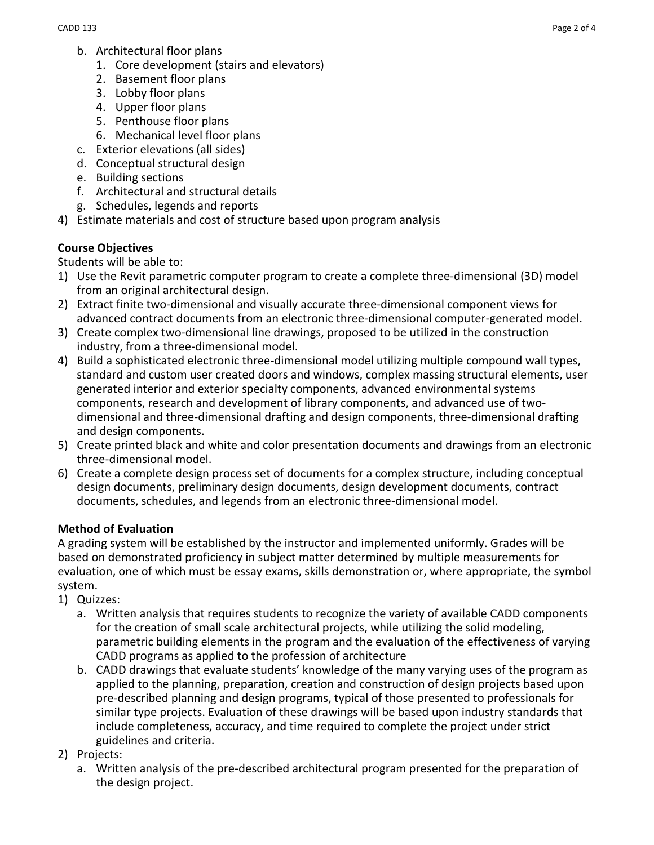- b. Architectural floor plans
	- 1. Core development (stairs and elevators)
	- 2. Basement floor plans
	- 3. Lobby floor plans
	- 4. Upper floor plans
	- 5. Penthouse floor plans
	- 6. Mechanical level floor plans
- c. Exterior elevations (all sides)
- d. Conceptual structural design
- e. Building sections
- f. Architectural and structural details
- g. Schedules, legends and reports
- 4) Estimate materials and cost of structure based upon program analysis

### **Course Objectives**

Students will be able to:

- 1) Use the Revit parametric computer program to create a complete three-dimensional (3D) model from an original architectural design.
- 2) Extract finite two-dimensional and visually accurate three-dimensional component views for advanced contract documents from an electronic three-dimensional computer-generated model.
- 3) Create complex two-dimensional line drawings, proposed to be utilized in the construction industry, from a three-dimensional model.
- 4) Build a sophisticated electronic three-dimensional model utilizing multiple compound wall types, standard and custom user created doors and windows, complex massing structural elements, user generated interior and exterior specialty components, advanced environmental systems components, research and development of library components, and advanced use of twodimensional and three-dimensional drafting and design components, three-dimensional drafting and design components.
- 5) Create printed black and white and color presentation documents and drawings from an electronic three-dimensional model.
- 6) Create a complete design process set of documents for a complex structure, including conceptual design documents, preliminary design documents, design development documents, contract documents, schedules, and legends from an electronic three-dimensional model.

### **Method of Evaluation**

A grading system will be established by the instructor and implemented uniformly. Grades will be based on demonstrated proficiency in subject matter determined by multiple measurements for evaluation, one of which must be essay exams, skills demonstration or, where appropriate, the symbol system.

- 1) Quizzes:
	- a. Written analysis that requires students to recognize the variety of available CADD components for the creation of small scale architectural projects, while utilizing the solid modeling, parametric building elements in the program and the evaluation of the effectiveness of varying CADD programs as applied to the profession of architecture
	- b. CADD drawings that evaluate students' knowledge of the many varying uses of the program as applied to the planning, preparation, creation and construction of design projects based upon pre-described planning and design programs, typical of those presented to professionals for similar type projects. Evaluation of these drawings will be based upon industry standards that include completeness, accuracy, and time required to complete the project under strict guidelines and criteria.
- 2) Projects:
	- a. Written analysis of the pre-described architectural program presented for the preparation of the design project.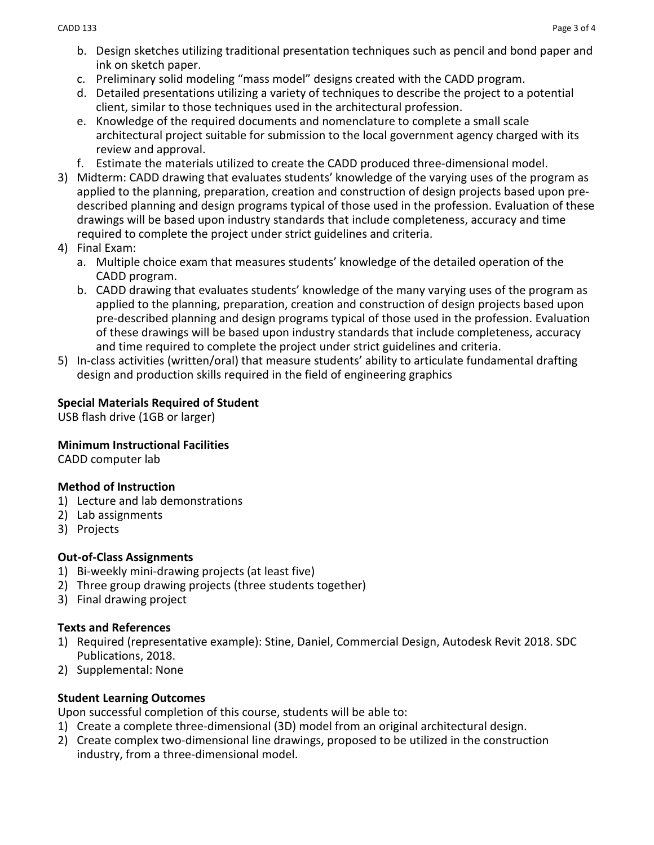- b. Design sketches utilizing traditional presentation techniques such as pencil and bond paper and ink on sketch paper.
- c. Preliminary solid modeling "mass model" designs created with the CADD program.
- d. Detailed presentations utilizing a variety of techniques to describe the project to a potential client, similar to those techniques used in the architectural profession.
- e. Knowledge of the required documents and nomenclature to complete a small scale architectural project suitable for submission to the local government agency charged with its review and approval.
- f. Estimate the materials utilized to create the CADD produced three-dimensional model.
- 3) Midterm: CADD drawing that evaluates students' knowledge of the varying uses of the program as applied to the planning, preparation, creation and construction of design projects based upon predescribed planning and design programs typical of those used in the profession. Evaluation of these drawings will be based upon industry standards that include completeness, accuracy and time required to complete the project under strict guidelines and criteria.
- 4) Final Exam:
	- a. Multiple choice exam that measures students' knowledge of the detailed operation of the CADD program.
	- b. CADD drawing that evaluates students' knowledge of the many varying uses of the program as applied to the planning, preparation, creation and construction of design projects based upon pre-described planning and design programs typical of those used in the profession. Evaluation of these drawings will be based upon industry standards that include completeness, accuracy and time required to complete the project under strict guidelines and criteria.
- 5) In-class activities (written/oral) that measure students' ability to articulate fundamental drafting design and production skills required in the field of engineering graphics

# **Special Materials Required of Student**

USB flash drive (1GB or larger)

### **Minimum Instructional Facilities**

CADD computer lab

### **Method of Instruction**

- 1) Lecture and lab demonstrations
- 2) Lab assignments
- 3) Projects

# **Out-of-Class Assignments**

- 1) Bi-weekly mini-drawing projects (at least five)
- 2) Three group drawing projects (three students together)
- 3) Final drawing project

### **Texts and References**

- 1) Required (representative example): Stine, Daniel, Commercial Design, Autodesk Revit 2018. SDC Publications, 2018.
- 2) Supplemental: None

# **Student Learning Outcomes**

Upon successful completion of this course, students will be able to:

- 1) Create a complete three-dimensional (3D) model from an original architectural design.
- 2) Create complex two-dimensional line drawings, proposed to be utilized in the construction industry, from a three-dimensional model.